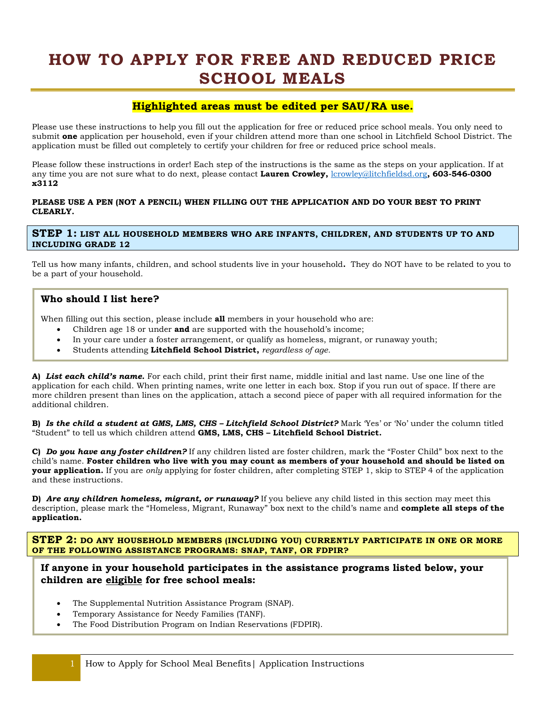# **HOW TO APPLY FOR FREE AND REDUCED PRICE SCHOOL MEALS**

# **Highlighted areas must be edited per SAU/RA use.**

Please use these instructions to help you fill out the application for free or reduced price school meals. You only need to submit **one** application per household, even if your children attend more than one school in Litchfield School District. The application must be filled out completely to certify your children for free or reduced price school meals.

Please follow these instructions in order! Each step of the instructions is the same as the steps on your application. If at any time you are not sure what to do next, please contact **Lauren Crowley,** [lcrowley@litchfieldsd.org](mailto:lcrowley@litchfieldsd.org)**, 603-546-0300 x3112**

#### **PLEASE USE A PEN (NOT A PENCIL) WHEN FILLING OUT THE APPLICATION AND DO YOUR BEST TO PRINT CLEARLY.**

### **STEP 1: LIST ALL HOUSEHOLD MEMBERS WHO ARE INFANTS, CHILDREN, AND STUDENTS UP TO AND INCLUDING GRADE 12**

Tell us how many infants, children, and school students live in your household**.** They do NOT have to be related to you to be a part of your household.

# **Who should I list here?**

When filling out this section, please include **all** members in your household who are:

- Children age 18 or under **and** are supported with the household's income;
- In your care under a foster arrangement, or qualify as homeless, migrant, or runaway youth;
- Students attending **Litchfield School District,** *regardless of age.*

**A)** *List each child's name.* For each child, print their first name, middle initial and last name. Use one line of the application for each child. When printing names, write one letter in each box. Stop if you run out of space. If there are more children present than lines on the application, attach a second piece of paper with all required information for the additional children.

**B)** *Is the child a student at GMS, LMS, CHS – Litchfield School District?* Mark 'Yes' or 'No' under the column titled "Student" to tell us which children attend **GMS, LMS, CHS – Litchfield School District.**

**C)** *Do you have any foster children?* If any children listed are foster children, mark the "Foster Child" box next to the child's name. **Foster children who live with you may count as members of your household and should be listed on your application.** If you are *only* applying for foster children, after completing STEP 1, skip to STEP 4 of the application and these instructions.

**D)** *Are any children homeless, migrant, or runaway?* If you believe any child listed in this section may meet this description, please mark the "Homeless, Migrant, Runaway" box next to the child's name and **complete all steps of the application.**

**STEP 2: DO ANY HOUSEHOLD MEMBERS (INCLUDING YOU) CURRENTLY PARTICIPATE IN ONE OR MORE OF THE FOLLOWING ASSISTANCE PROGRAMS: SNAP, TANF, OR FDPIR?**

## **If anyone in your household participates in the assistance programs listed below, your children are eligible for free school meals:**

- The Supplemental Nutrition Assistance Program (SNAP).
- Temporary Assistance for Needy Families (TANF).
- The Food Distribution Program on Indian Reservations (FDPIR).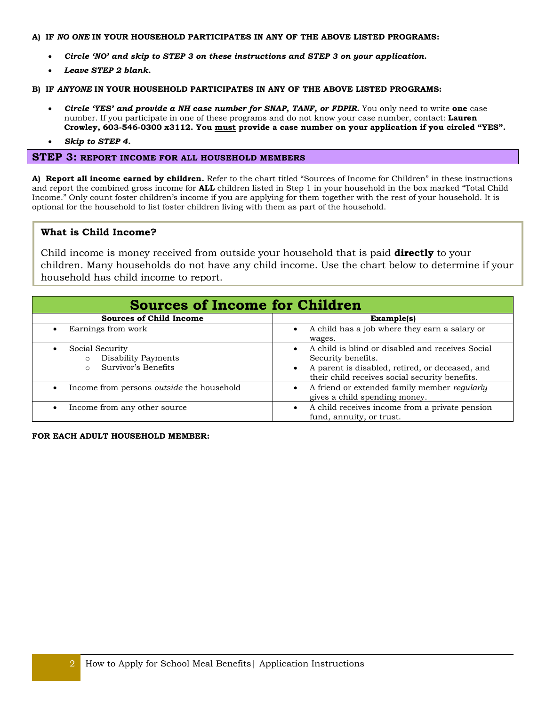#### **A) IF** *NO ONE* **IN YOUR HOUSEHOLD PARTICIPATES IN ANY OF THE ABOVE LISTED PROGRAMS:**

- *Circle 'NO' and skip to STEP 3 on these instructions and STEP 3 on your application.*
- *Leave STEP 2 blank.*

#### **B) IF** *ANYONE* **IN YOUR HOUSEHOLD PARTICIPATES IN ANY OF THE ABOVE LISTED PROGRAMS:**

- *Circle 'YES' and provide a NH case number for SNAP, TANF, or FDPIR.* You only need to write **one** case number. If you participate in one of these programs and do not know your case number, contact: **Lauren Crowley, 603-546-0300 x3112. You must provide a case number on your application if you circled "YES".**
- *Skip to STEP 4.*

## **STEP 3: REPORT INCOME FOR ALL HOUSEHOLD MEMBERS**

**A) Report all income earned by children.** Refer to the chart titled "Sources of Income for Children" in these instructions and report the combined gross income for **ALL** children listed in Step 1 in your household in the box marked "Total Child Income." Only count foster children's income if you are applying for them together with the rest of your household. It is optional for the household to list foster children living with them as part of the household.

## **What is Child Income?**

Child income is money received from outside your household that is paid **directly** to your children. Many households do not have any child income. Use the chart below to determine if your household has child income to report.

| <b>Sources of Income for Children</b>                                                             |                                                                                                                                                                                          |  |  |
|---------------------------------------------------------------------------------------------------|------------------------------------------------------------------------------------------------------------------------------------------------------------------------------------------|--|--|
| <b>Sources of Child Income</b>                                                                    | Example(s)                                                                                                                                                                               |  |  |
| Earnings from work<br>$\bullet$                                                                   | A child has a job where they earn a salary or<br>$\bullet$<br>wages.                                                                                                                     |  |  |
| Social Security<br>$\bullet$<br>Disability Payments<br>$\circ$<br>Survivor's Benefits<br>$\Omega$ | A child is blind or disabled and receives Social<br>$\bullet$<br>Security benefits.<br>A parent is disabled, retired, or deceased, and<br>their child receives social security benefits. |  |  |
| Income from persons <i>outside</i> the household<br>$\bullet$                                     | A friend or extended family member regularly<br>gives a child spending money.                                                                                                            |  |  |
| Income from any other source                                                                      | A child receives income from a private pension<br>fund, annuity, or trust.                                                                                                               |  |  |

**FOR EACH ADULT HOUSEHOLD MEMBER:**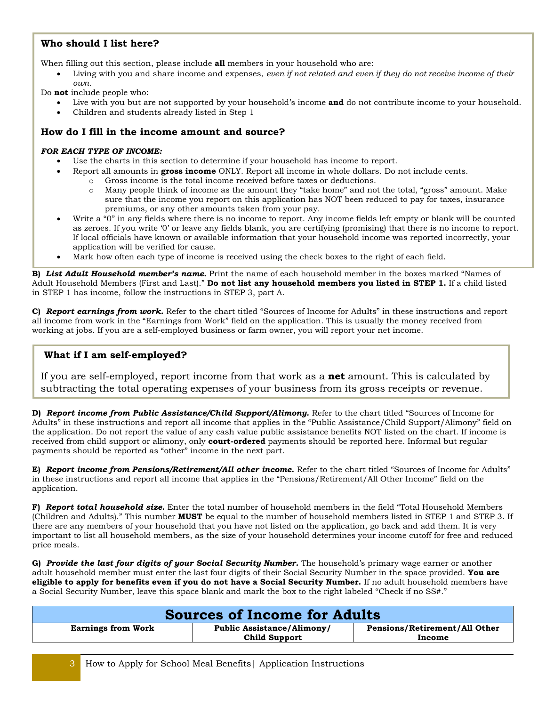# **Who should I list here?**

When filling out this section, please include **all** members in your household who are:

 Living with you and share income and expenses, *even if not related and even if they do not receive income of their own.*

Do **not** include people who:

- Live with you but are not supported by your household's income **and** do not contribute income to your household.
- Children and students already listed in Step 1

# **How do I fill in the income amount and source?**

### *FOR EACH TYPE OF INCOME:*

- Use the charts in this section to determine if your household has income to report.
	- Report all amounts in **gross income** ONLY. Report all income in whole dollars. Do not include cents.
		- o Gross income is the total income received before taxes or deductions.
		- o Many people think of income as the amount they "take home" and not the total, "gross" amount. Make sure that the income you report on this application has NOT been reduced to pay for taxes, insurance premiums, or any other amounts taken from your pay.
- Write a "0" in any fields where there is no income to report. Any income fields left empty or blank will be counted as zeroes. If you write '0' or leave any fields blank, you are certifying (promising) that there is no income to report. If local officials have known or available information that your household income was reported incorrectly, your application will be verified for cause.
- Mark how often each type of income is received using the check boxes to the right of each field.

**B)** *List Adult Household member's name.* Print the name of each household member in the boxes marked "Names of Adult Household Members (First and Last)." **Do not list any household members you listed in STEP 1.** If a child listed in STEP 1 has income, follow the instructions in STEP 3, part A.

**C)** *Report earnings from work.* Refer to the chart titled "Sources of Income for Adults" in these instructions and report all income from work in the "Earnings from Work" field on the application. This is usually the money received from working at jobs. If you are a self-employed business or farm owner, you will report your net income.

# **What if I am self-employed?**

If you are self-employed, report income from that work as a **net** amount. This is calculated by subtracting the total operating expenses of your business from its gross receipts or revenue.

**D)** *Report income from Public Assistance/Child Support/Alimony.* Refer to the chart titled "Sources of Income for Adults" in these instructions and report all income that applies in the "Public Assistance/Child Support/Alimony" field on the application. Do not report the value of any cash value public assistance benefits NOT listed on the chart. If income is received from child support or alimony, only **court-ordered** payments should be reported here. Informal but regular payments should be reported as "other" income in the next part.

**E)** *Report income from Pensions/Retirement/All other income.* Refer to the chart titled "Sources of Income for Adults" in these instructions and report all income that applies in the "Pensions/Retirement/All Other Income" field on the application.

**F)** *Report total household size.* Enter the total number of household members in the field "Total Household Members (Children and Adults)." This number **MUST** be equal to the number of household members listed in STEP 1 and STEP 3. If there are any members of your household that you have not listed on the application, go back and add them. It is very important to list all household members, as the size of your household determines your income cutoff for free and reduced price meals.

**G)** *Provide the last four digits of your Social Security Number.* The household's primary wage earner or another adult household member must enter the last four digits of their Social Security Number in the space provided. **You are eligible to apply for benefits even if you do not have a Social Security Number.** If no adult household members have a Social Security Number, leave this space blank and mark the box to the right labeled "Check if no SS#."

| <b>Sources of Income for Adults</b> |                                   |                               |  |
|-------------------------------------|-----------------------------------|-------------------------------|--|
| <b>Earnings from Work</b>           | <b>Public Assistance/Alimony/</b> | Pensions/Retirement/All Other |  |
|                                     | <b>Child Support</b>              | Income                        |  |